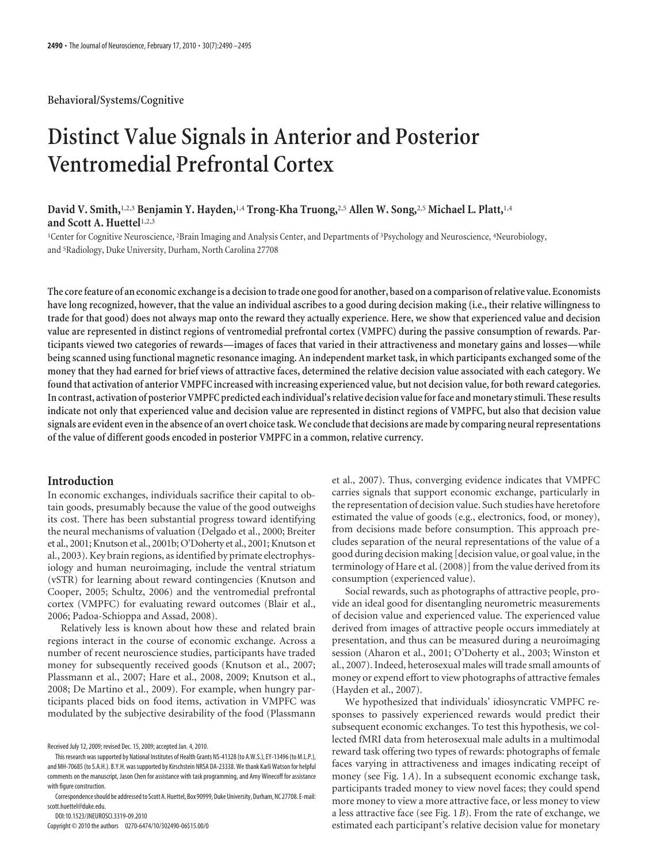#### **Behavioral/Systems/Cognitive**

# **Distinct Value Signals in Anterior and Posterior Ventromedial Prefrontal Cortex**

# **David V. Smith,**1,2,3 **Benjamin Y. Hayden,**1,4 **Trong-Kha Truong,**2,5 **Allen W. Song,**2,5 **Michael L. Platt,**1,4 and Scott A. Huettel<sup>1,2,3</sup>

<sup>1</sup>Center for Cognitive Neuroscience, <sup>2</sup>Brain Imaging and Analysis Center, and Departments of <sup>3</sup>Psychology and Neuroscience, <sup>4</sup>Neurobiology, and <sup>5</sup> Radiology, Duke University, Durham, North Carolina 27708

The core feature of an economic exchange is a decision to trade one good for another, based on a comparison of relative value. Economists **have long recognized, however, that the value an individual ascribes to a good during decision making (i.e., their relative willingness to trade for that good) does not always map onto the reward they actually experience. Here, we show that experienced value and decision value are represented in distinct regions of ventromedial prefrontal cortex (VMPFC) during the passive consumption of rewards. Participants viewed two categories of rewards—images of faces that varied in their attractiveness and monetary gains and losses—while being scanned using functional magnetic resonance imaging. An independent market task, in which participants exchanged some of the money that they had earned for brief views of attractive faces, determined the relative decision value associated with each category. We found that activation of anterior VMPFC increased with increasing experienced value, but not decision value, for both reward categories. In contrast, activation of posterior VMPFC predicted each individual's relative decision valueforface and monetary stimuli. These results indicate not only that experienced value and decision value are represented in distinct regions of VMPFC, but also that decision value signals are evident even inthe absence of an overt choicetask. We concludethat decisions are made by comparing neural representations of the value of different goods encoded in posterior VMPFC in a common, relative currency.**

### **Introduction**

In economic exchanges, individuals sacrifice their capital to obtain goods, presumably because the value of the good outweighs its cost. There has been substantial progress toward identifying the neural mechanisms of valuation (Delgado et al., 2000; Breiter et al., 2001; Knutson et al., 2001b; O'Doherty et al., 2001; Knutson et al., 2003). Key brain regions, as identified by primate electrophysiology and human neuroimaging, include the ventral striatum (vSTR) for learning about reward contingencies (Knutson and Cooper, 2005; Schultz, 2006) and the ventromedial prefrontal cortex (VMPFC) for evaluating reward outcomes (Blair et al., 2006; Padoa-Schioppa and Assad, 2008).

Relatively less is known about how these and related brain regions interact in the course of economic exchange. Across a number of recent neuroscience studies, participants have traded money for subsequently received goods (Knutson et al., 2007; Plassmann et al., 2007; Hare et al., 2008, 2009; Knutson et al., 2008; De Martino et al., 2009). For example, when hungry participants placed bids on food items, activation in VMPFC was modulated by the subjective desirability of the food (Plassmann

DOI:10.1523/JNEUROSCI.3319-09.2010

Copyright © 2010 the authors 0270-6474/10/302490-06\$15.00/0

et al., 2007). Thus, converging evidence indicates that VMPFC carries signals that support economic exchange, particularly in the representation of decision value. Such studies have heretofore estimated the value of goods (e.g., electronics, food, or money), from decisions made before consumption. This approach precludes separation of the neural representations of the value of a good during decision making [decision value, or goal value, in the terminology of Hare et al. (2008)] from the value derived from its consumption (experienced value).

Social rewards, such as photographs of attractive people, provide an ideal good for disentangling neurometric measurements of decision value and experienced value. The experienced value derived from images of attractive people occurs immediately at presentation, and thus can be measured during a neuroimaging session (Aharon et al., 2001; O'Doherty et al., 2003; Winston et al., 2007). Indeed, heterosexual males will trade small amounts of money or expend effort to view photographs of attractive females (Hayden et al., 2007).

We hypothesized that individuals' idiosyncratic VMPFC responses to passively experienced rewards would predict their subsequent economic exchanges. To test this hypothesis, we collected fMRI data from heterosexual male adults in a multimodal reward task offering two types of rewards: photographs of female faces varying in attractiveness and images indicating receipt of money (see Fig. 1*A*). In a subsequent economic exchange task, participants traded money to view novel faces; they could spend more money to view a more attractive face, or less money to view a less attractive face (see Fig. 1*B*). From the rate of exchange, we estimated each participant's relative decision value for monetary

Received July 12, 2009; revised Dec. 15, 2009; accepted Jan. 4, 2010.

This research wassupported by National Institutes of Health Grants NS-41328 (to A.W.S.), EY-13496 (to M.L.P.), and MH-70685 (to S.A.H.). B.Y.H. was supported by Kirschstein NRSA DA-23338. We thank Karli Watson for helpful comments on the manuscript, Jason Chen for assistance with task programming, and Amy Winecoff for assistance with figure construction.

Correspondenceshould be addressedto Scott A.Huettel, Box 90999, Duke University, Durham,NC 27708. E-mail: scott.huettel@duke.edu.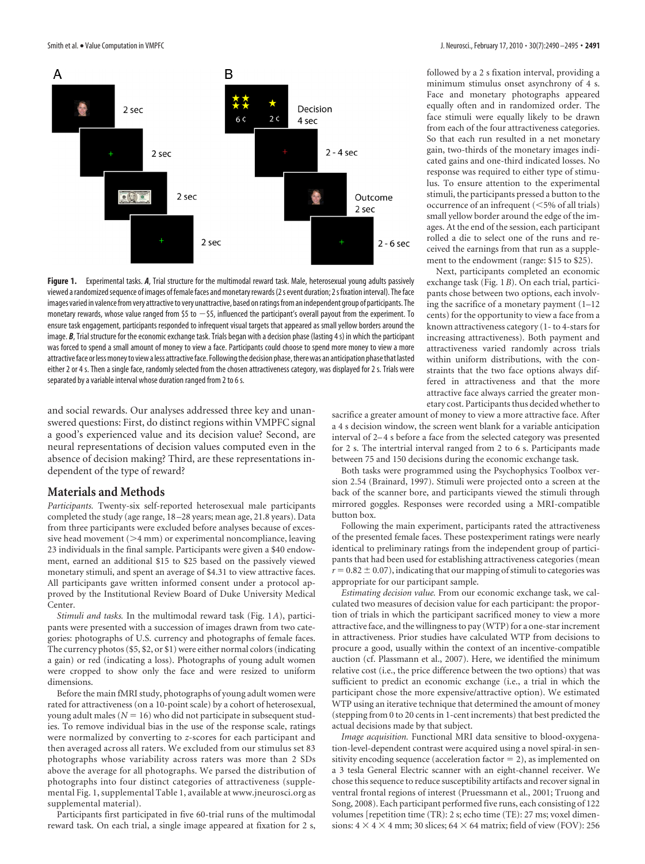

**Figure 1.** Experimental tasks. *A*, Trial structure for the multimodal reward task. Male, heterosexual young adults passively viewed a randomized sequence of images of female faces and monetary rewards (2s event duration; 2s fixation interval). The face images varied in valence from very attractiveto very unattractive, based onratings from an independent group of participants. The monetary rewards, whose value ranged from \$5 to  $-$  \$5, influenced the participant's overall payout from the experiment. To ensure task engagement, participants responded to infrequent visual targets that appeared as small yellow borders around the image. *B*, Trial structure for the economic exchange task. Trials began with a decision phase (lasting 4 s) in which the participant was forced to spend a small amount of money to view a face. Participants could choose to spend more money to view a more attractive face or less money to view a less attractive face. Following the decision phase, there was an anticipation phase that lasted either 2 or 4 s. Then a single face, randomly selected from the chosen attractiveness category, was displayed for 2 s. Trials were separated by a variable interval whose duration ranged from 2 to 6 s.

and social rewards. Our analyses addressed three key and unanswered questions: First, do distinct regions within VMPFC signal a good's experienced value and its decision value? Second, are neural representations of decision values computed even in the absence of decision making? Third, are these representations independent of the type of reward?

## **Materials and Methods**

*Participants.* Twenty-six self-reported heterosexual male participants completed the study (age range, 18 –28 years; mean age, 21.8 years). Data from three participants were excluded before analyses because of excessive head movement  $(>4$  mm) or experimental noncompliance, leaving 23 individuals in the final sample. Participants were given a \$40 endowment, earned an additional \$15 to \$25 based on the passively viewed monetary stimuli, and spent an average of \$4.31 to view attractive faces. All participants gave written informed consent under a protocol approved by the Institutional Review Board of Duke University Medical Center.

*Stimuli and tasks.* In the multimodal reward task (Fig. 1*A*), participants were presented with a succession of images drawn from two categories: photographs of U.S. currency and photographs of female faces. The currency photos (\$5, \$2, or \$1) were either normal colors (indicating a gain) or red (indicating a loss). Photographs of young adult women were cropped to show only the face and were resized to uniform dimensions.

Before the main fMRI study, photographs of young adult women were rated for attractiveness (on a 10-point scale) by a cohort of heterosexual, young adult males  $(N = 16)$  who did not participate in subsequent studies. To remove individual bias in the use of the response scale, ratings were normalized by converting to *z*-scores for each participant and then averaged across all raters. We excluded from our stimulus set 83 photographs whose variability across raters was more than 2 SDs above the average for all photographs. We parsed the distribution of photographs into four distinct categories of attractiveness (supplemental Fig. 1, supplemental Table 1, available at www.jneurosci.org as supplemental material).

Participants first participated in five 60-trial runs of the multimodal reward task. On each trial, a single image appeared at fixation for 2 s,

followed bya2s fixation interval, providing a minimum stimulus onset asynchrony of 4 s. Face and monetary photographs appeared equally often and in randomized order. The face stimuli were equally likely to be drawn from each of the four attractiveness categories. So that each run resulted in a net monetary gain, two-thirds of the monetary images indicated gains and one-third indicated losses. No response was required to either type of stimulus. To ensure attention to the experimental stimuli, the participants pressed a button to the occurrence of an infrequent ( $<$  5% of all trials) small yellow border around the edge of the images. At the end of the session, each participant rolled a die to select one of the runs and received the earnings from that run as a supplement to the endowment (range: \$15 to \$25).

Next, participants completed an economic exchange task (Fig. 1*B*). On each trial, participants chose between two options, each involving the sacrifice of a monetary payment (1–12 cents) for the opportunity to view a face from a known attractiveness category (1- to 4-stars for increasing attractiveness). Both payment and attractiveness varied randomly across trials within uniform distributions, with the constraints that the two face options always differed in attractiveness and that the more attractive face always carried the greater monetary cost. Participants thus decided whether to

sacrifice a greater amount of money to view a more attractive face. After a 4 s decision window, the screen went blank for a variable anticipation interval of 2– 4 s before a face from the selected category was presented for 2 s. The intertrial interval ranged from 2 to 6 s. Participants made between 75 and 150 decisions during the economic exchange task.

Both tasks were programmed using the Psychophysics Toolbox version 2.54 (Brainard, 1997). Stimuli were projected onto a screen at the back of the scanner bore, and participants viewed the stimuli through mirrored goggles. Responses were recorded using a MRI-compatible button box.

Following the main experiment, participants rated the attractiveness of the presented female faces. These postexperiment ratings were nearly identical to preliminary ratings from the independent group of participants that had been used for establishing attractiveness categories (mean  $r = 0.82 \pm 0.07$ ), indicating that our mapping of stimuli to categories was appropriate for our participant sample.

*Estimating decision value.* From our economic exchange task, we calculated two measures of decision value for each participant: the proportion of trials in which the participant sacrificed money to view a more attractive face, and the willingness to pay (WTP) for a one-star increment in attractiveness. Prior studies have calculated WTP from decisions to procure a good, usually within the context of an incentive-compatible auction (cf. Plassmann et al., 2007). Here, we identified the minimum relative cost (i.e., the price difference between the two options) that was sufficient to predict an economic exchange (i.e., a trial in which the participant chose the more expensive/attractive option). We estimated WTP using an iterative technique that determined the amount of money (stepping from 0 to 20 cents in 1-cent increments) that best predicted the actual decisions made by that subject.

*Image acquisition.* Functional MRI data sensitive to blood-oxygenation-level-dependent contrast were acquired using a novel spiral-in sensitivity encoding sequence (acceleration factor  $= 2$ ), as implemented on a 3 tesla General Electric scanner with an eight-channel receiver. We chose this sequence to reduce susceptibility artifacts and recover signal in ventral frontal regions of interest (Pruessmann et al., 2001; Truong and Song, 2008). Each participant performed five runs, each consisting of 122 volumes [repetition time (TR): 2 s; echo time (TE): 27 ms; voxel dimensions:  $4 \times 4 \times 4$  mm; 30 slices;  $64 \times 64$  matrix; field of view (FOV): 256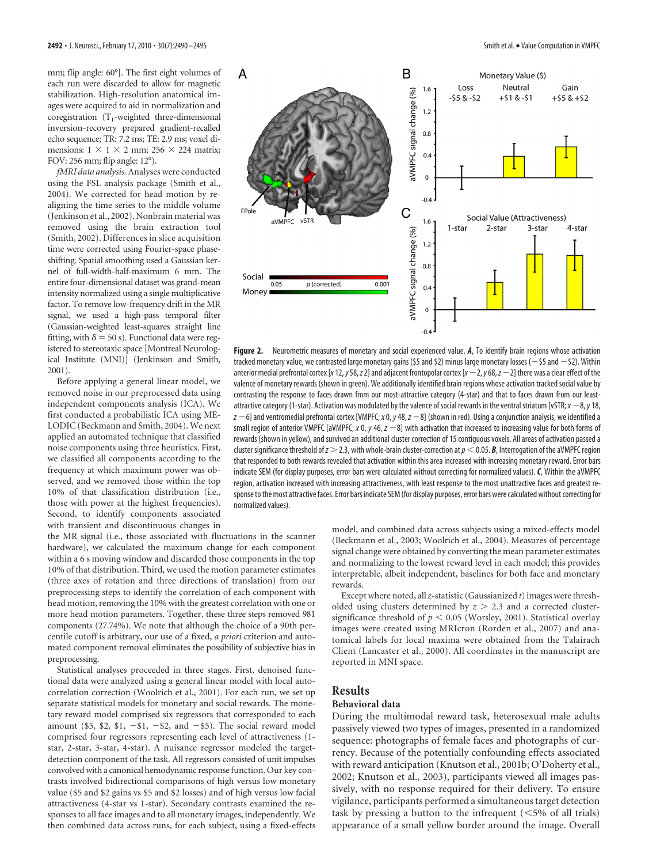mm; flip angle: 60°]. The first eight volumes of each run were discarded to allow for magnetic stabilization. High-resolution anatomical images were acquired to aid in normalization and coregistration  $(T_1$ -weighted three-dimensional inversion-recovery prepared gradient-recalled echo sequence; TR: 7.2 ms; TE: 2.9 ms; voxel dimensions:  $1 \times 1 \times 2$  mm; 256  $\times$  224 matrix; FOV: 256 mm; flip angle: 12°).

*fMRI data analysis.*Analyses were conducted using the FSL analysis package (Smith et al., 2004). We corrected for head motion by realigning the time series to the middle volume (Jenkinson et al., 2002). Nonbrain material was removed using the brain extraction tool (Smith, 2002). Differences in slice acquisition time were corrected using Fourier-space phaseshifting. Spatial smoothing used a Gaussian kernel of full-width-half-maximum 6 mm. The entire four-dimensional dataset was grand-mean intensity normalized using a single multiplicative factor. To remove low-frequency drift in the MR signal, we used a high-pass temporal filter (Gaussian-weighted least-squares straight line fitting, with  $\delta = 50$  s). Functional data were registered to stereotaxic space [Montreal Neurological Institute (MNI)] (Jenkinson and Smith, 2001).

Before applying a general linear model, we removed noise in our preprocessed data using independent components analysis (ICA). We first conducted a probabilistic ICA using ME-LODIC (Beckmann and Smith, 2004). We next applied an automated technique that classified noise components using three heuristics. First, we classified all components according to the frequency at which maximum power was observed, and we removed those within the top 10% of that classification distribution (i.e., those with power at the highest frequencies). Second, to identify components associated with transient and discontinuous changes in

the MR signal (i.e., those associated with fluctuations in the scanner hardware), we calculated the maximum change for each component within a 6 s moving window and discarded those components in the top 10% of that distribution. Third, we used the motion parameter estimates (three axes of rotation and three directions of translation) from our preprocessing steps to identify the correlation of each component with head motion, removing the 10% with the greatest correlation with one or more head motion parameters. Together, these three steps removed 981 components (27.74%). We note that although the choice of a 90th percentile cutoff is arbitrary, our use of a fixed, *a priori* criterion and automated component removal eliminates the possibility of subjective bias in preprocessing.

Statistical analyses proceeded in three stages. First, denoised functional data were analyzed using a general linear model with local autocorrelation correction (Woolrich et al., 2001). For each run, we set up separate statistical models for monetary and social rewards. The monetary reward model comprised six regressors that corresponded to each amount (\$5, \$2, \$1,  $-$ \$1,  $-$ \$2, and  $-$ \$5). The social reward model comprised four regressors representing each level of attractiveness (1 star, 2-star, 3-star, 4-star). A nuisance regressor modeled the targetdetection component of the task. All regressors consisted of unit impulses convolved with a canonical hemodynamic response function. Our key contrasts involved bidirectional comparisons of high versus low monetary value (\$5 and \$2 gains vs \$5 and \$2 losses) and of high versus low facial attractiveness (4-star vs 1-star). Secondary contrasts examined the responses to all face images and to all monetary images, independently. We then combined data across runs, for each subject, using a fixed-effects



**Figure 2.** Neurometric measures of monetary and social experienced value. *A*, To identify brain regions whose activation tracked monetary value, we contrasted large monetary gains (\$5 and \$2) minus large monetary losses ( $-$ \$5 and  $-$ \$2). Within anterior medial prefrontal cortex [*x* 12, *y* 58, *z* 2] and adjacent frontopolar cortex [*x* - 2, *y* 68, *z* - 2] there was a clear effect of the valence of monetary rewards (shown in green). We additionally identified brain regions whose activation tracked social value by contrasting the response to faces drawn from our most-attractive category (4-star) and that to faces drawn from our leastattractive category (1-star). Activation was modulated by the valence of social rewards in the ventral striatum [vSTR; $x - 8$ ,  $y$  18,  $z$  – 6] and ventromedial prefrontal cortex [VMPFC;  $x$  0,  $y$  48,  $z$  – 8] (shown in red). Using a conjunction analysis, we identified a small region of anterior VMPFC [aVMPFC;  $x$  0,  $y$  46,  $z$  -8] with activation that increased to increasing value for both forms of rewards (shown in yellow), and survived an additional cluster correction of 15 contiguous voxels. All areas of activation passed a cluster significance threshold of  $z > 2.3$ , with whole-brain cluster-correction at  $p < 0.05$ . **B**, Interrogation of the aVMPFC region that responded to both rewards revealed that activation within this area increased with increasing monetary reward. Error bars indicate SEM (for display purposes, error bars were calculated without correcting for normalized values).*C*, Within the aVMPFC region, activation increased with increasing attractiveness, with least response to the most unattractive faces and greatest response to the most attractive faces. Error bars indicate SEM (for display purposes, error bars were calculated without correcting for normalized values).

model, and combined data across subjects using a mixed-effects model (Beckmann et al., 2003; Woolrich et al., 2004). Measures of percentage signal change were obtained by converting the mean parameter estimates and normalizing to the lowest reward level in each model; this provides interpretable, albeit independent, baselines for both face and monetary rewards.

Except where noted, all*z*-statistic (Gaussianized *t*) images were thresholded using clusters determined by  $z > 2.3$  and a corrected clustersignificance threshold of  $p < 0.05$  (Worsley, 2001). Statistical overlay images were created using MRIcron (Rorden et al., 2007) and anatomical labels for local maxima were obtained from the Talairach Client (Lancaster et al., 2000). All coordinates in the manuscript are reported in MNI space.

#### **Results**

#### **Behavioral data**

During the multimodal reward task, heterosexual male adults passively viewed two types of images, presented in a randomized sequence: photographs of female faces and photographs of currency. Because of the potentially confounding effects associated with reward anticipation (Knutson et al., 2001b; O'Doherty et al., 2002; Knutson et al., 2003), participants viewed all images passively, with no response required for their delivery. To ensure vigilance, participants performed a simultaneous target detection task by pressing a button to the infrequent  $(<5\%$  of all trials) appearance of a small yellow border around the image. Overall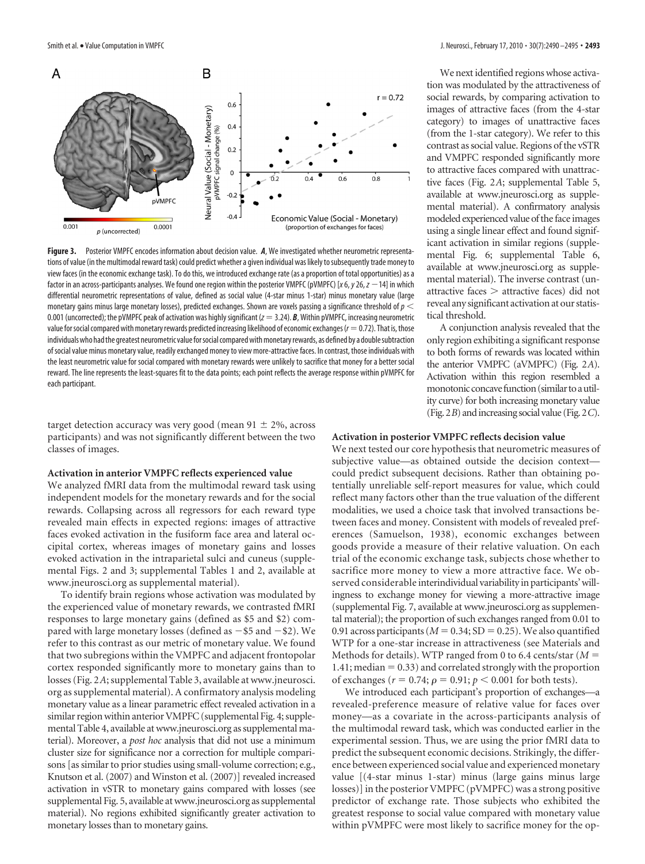

**Figure 3.** Posterior VMPFC encodes information about decision value. *A*, We investigated whether neurometric representations of value (in the multimodal reward task) could predict whether a given individual was likely tosubsequently trade money to view faces (in the economic exchange task). To do this, we introduced exchange rate (as a proportion of total opportunities) as a factor in an across-participants analyses. We found one region within the posterior VMPFC (pVMPFC) [*x*6,*y*26, *z* 14] in which differential neurometric representations of value, defined as social value (4-star minus 1-star) minus monetary value (large monetary gains minus large monetary losses), predicted exchanges. Shown are voxels passing a significance threshold of *p* 0.001 (uncorrected); the pVMPFC peak of activation was highly significant (*z*  $=$  3.24). *B*, Within pVMPFC, increasing neurometric value for social compared with monetary rewards predicted increasing likelihood of economic exchanges (*r*  $=$  0.72). That is, those individuals who had the greatest neurometric value for social compared with monetary rewards, as defined by a double subtraction of social value minus monetary value, readily exchanged money to view more-attractive faces. In contrast, those individuals with the least neurometric value for social compared with monetary rewards were unlikely to sacrifice that money for a better social reward. The line represents the least-squares fit to the data points; each point reflects the average response within pVMPFC for each participant.

target detection accuracy was very good (mean  $91 \pm 2\%$ , across participants) and was not significantly different between the two classes of images.

#### **Activation in anterior VMPFC reflects experienced value**

We analyzed fMRI data from the multimodal reward task using independent models for the monetary rewards and for the social rewards. Collapsing across all regressors for each reward type revealed main effects in expected regions: images of attractive faces evoked activation in the fusiform face area and lateral occipital cortex, whereas images of monetary gains and losses evoked activation in the intraparietal sulci and cuneus (supplemental Figs. 2 and 3; supplemental Tables 1 and 2, available at www.jneurosci.org as supplemental material).

To identify brain regions whose activation was modulated by the experienced value of monetary rewards, we contrasted fMRI responses to large monetary gains (defined as \$5 and \$2) compared with large monetary losses (defined as  $-$  \$5 and  $-$  \$2). We refer to this contrast as our metric of monetary value. We found that two subregions within the VMPFC and adjacent frontopolar cortex responded significantly more to monetary gains than to losses (Fig. 2*A*; supplemental Table 3, available at www.jneurosci. org as supplemental material). A confirmatory analysis modeling monetary value as a linear parametric effect revealed activation in a similar region within anterior VMPFC (supplemental Fig. 4; supplemental Table 4, available at www.jneurosci.org as supplemental material). Moreover, a *post hoc* analysis that did not use a minimum cluster size for significance nor a correction for multiple comparisons [as similar to prior studies using small-volume correction; e.g., Knutson et al. (2007) and Winston et al. (2007)] revealed increased activation in vSTR to monetary gains compared with losses (see supplemental Fig. 5, available at www.jneurosci.org as supplemental material). No regions exhibited significantly greater activation to monetary losses than to monetary gains.

We next identified regions whose activation was modulated by the attractiveness of social rewards, by comparing activation to images of attractive faces (from the 4-star category) to images of unattractive faces (from the 1-star category). We refer to this contrast as social value. Regions of the vSTR and VMPFC responded significantly more to attractive faces compared with unattractive faces (Fig. 2*A*; supplemental Table 5, available at www.jneurosci.org as supplemental material). A confirmatory analysis modeled experienced value of the face images using a single linear effect and found significant activation in similar regions (supplemental Fig. 6; supplemental Table 6, available at www.jneurosci.org as supplemental material). The inverse contrast (unattractive faces  $>$  attractive faces) did not reveal any significant activation at our statistical threshold.

A conjunction analysis revealed that the only region exhibiting a significant response to both forms of rewards was located within the anterior VMPFC (aVMPFC) (Fig. 2*A*). Activation within this region resembled a monotonic concave function (similar to a utility curve) for both increasing monetary value (Fig. 2*B*) andincreasing social value (Fig. 2*C*).

#### **Activation in posterior VMPFC reflects decision value**

We next tested our core hypothesis that neurometric measures of subjective value—as obtained outside the decision context could predict subsequent decisions. Rather than obtaining potentially unreliable self-report measures for value, which could reflect many factors other than the true valuation of the different modalities, we used a choice task that involved transactions between faces and money. Consistent with models of revealed preferences (Samuelson, 1938), economic exchanges between goods provide a measure of their relative valuation. On each trial of the economic exchange task, subjects chose whether to sacrifice more money to view a more attractive face. We observed considerable interindividual variabilityin participants'willingness to exchange money for viewing a more-attractive image (supplemental Fig. 7, available at www.jneurosci.org as supplemental material); the proportion of such exchanges ranged from 0.01 to  $0.91$  across participants ( $M = 0.34$ ; SD = 0.25). We also quantified WTP for a one-star increase in attractiveness (see Materials and Methods for details). WTP ranged from 0 to 6.4 cents/star (*M* -  $1.41$ ; median = 0.33) and correlated strongly with the proportion of exchanges ( $r = 0.74$ ;  $\rho = 0.91$ ;  $p < 0.001$  for both tests).

We introduced each participant's proportion of exchanges—a revealed-preference measure of relative value for faces over money—as a covariate in the across-participants analysis of the multimodal reward task, which was conducted earlier in the experimental session. Thus, we are using the prior fMRI data to predict the subsequent economic decisions. Strikingly, the difference between experienced social value and experienced monetary value [(4-star minus 1-star) minus (large gains minus large losses)] in the posterior VMPFC (pVMPFC) was a strong positive predictor of exchange rate. Those subjects who exhibited the greatest response to social value compared with monetary value within pVMPFC were most likely to sacrifice money for the op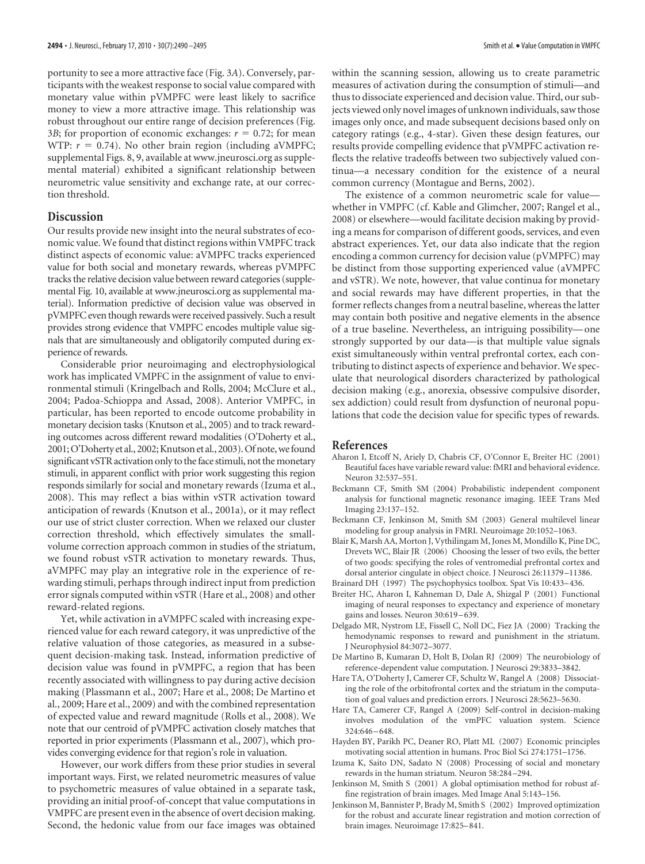portunity to see a more attractive face (Fig. 3*A*). Conversely, participants with the weakest response to social value compared with monetary value within pVMPFC were least likely to sacrifice money to view a more attractive image. This relationship was robust throughout our entire range of decision preferences (Fig. 3*B*; for proportion of economic exchanges:  $r = 0.72$ ; for mean WTP:  $r = 0.74$ ). No other brain region (including aVMPFC; supplemental Figs. 8, 9, available at www.jneurosci.org as supplemental material) exhibited a significant relationship between neurometric value sensitivity and exchange rate, at our correction threshold.

# **Discussion**

Our results provide new insight into the neural substrates of economic value. We found that distinct regions within VMPFC track distinct aspects of economic value: aVMPFC tracks experienced value for both social and monetary rewards, whereas pVMPFC tracks the relative decision value between reward categories (supplemental Fig. 10, available at www.jneurosci.org as supplemental material). Information predictive of decision value was observed in pVMPFC even though rewards were received passively. Such a result provides strong evidence that VMPFC encodes multiple value signals that are simultaneously and obligatorily computed during experience of rewards.

Considerable prior neuroimaging and electrophysiological work has implicated VMPFC in the assignment of value to environmental stimuli (Kringelbach and Rolls, 2004; McClure et al., 2004; Padoa-Schioppa and Assad, 2008). Anterior VMPFC, in particular, has been reported to encode outcome probability in monetary decision tasks (Knutson et al., 2005) and to track rewarding outcomes across different reward modalities (O'Doherty et al., 2001; O'Doherty et al., 2002; Knutson et al., 2003). Of note, we found significant vSTR activation only to the face stimuli, not the monetary stimuli, in apparent conflict with prior work suggesting this region responds similarly for social and monetary rewards (Izuma et al., 2008). This may reflect a bias within vSTR activation toward anticipation of rewards (Knutson et al., 2001a), or it may reflect our use of strict cluster correction. When we relaxed our cluster correction threshold, which effectively simulates the smallvolume correction approach common in studies of the striatum, we found robust vSTR activation to monetary rewards. Thus, aVMPFC may play an integrative role in the experience of rewarding stimuli, perhaps through indirect input from prediction error signals computed within vSTR (Hare et al., 2008) and other reward-related regions.

Yet, while activation in aVMPFC scaled with increasing experienced value for each reward category, it was unpredictive of the relative valuation of those categories, as measured in a subsequent decision-making task. Instead, information predictive of decision value was found in pVMPFC, a region that has been recently associated with willingness to pay during active decision making (Plassmann et al., 2007; Hare et al., 2008; De Martino et al., 2009; Hare et al., 2009) and with the combined representation of expected value and reward magnitude (Rolls et al., 2008). We note that our centroid of pVMPFC activation closely matches that reported in prior experiments (Plassmann et al., 2007), which provides converging evidence for that region's role in valuation.

However, our work differs from these prior studies in several important ways. First, we related neurometric measures of value to psychometric measures of value obtained in a separate task, providing an initial proof-of-concept that value computations in VMPFC are present even in the absence of overt decision making. Second, the hedonic value from our face images was obtained

within the scanning session, allowing us to create parametric measures of activation during the consumption of stimuli—and thus to dissociate experienced and decision value. Third, our subjects viewed only novel images of unknown individuals, saw those images only once, and made subsequent decisions based only on category ratings (e.g., 4-star). Given these design features, our results provide compelling evidence that pVMPFC activation reflects the relative tradeoffs between two subjectively valued continua—a necessary condition for the existence of a neural common currency (Montague and Berns, 2002).

The existence of a common neurometric scale for value whether in VMPFC (cf. Kable and Glimcher, 2007; Rangel et al., 2008) or elsewhere—would facilitate decision making by providing a means for comparison of different goods, services, and even abstract experiences. Yet, our data also indicate that the region encoding a common currency for decision value (pVMPFC) may be distinct from those supporting experienced value (aVMPFC and vSTR). We note, however, that value continua for monetary and social rewards may have different properties, in that the former reflects changes from a neutral baseline, whereas the latter may contain both positive and negative elements in the absence of a true baseline. Nevertheless, an intriguing possibility— one strongly supported by our data—is that multiple value signals exist simultaneously within ventral prefrontal cortex, each contributing to distinct aspects of experience and behavior. We speculate that neurological disorders characterized by pathological decision making (e.g., anorexia, obsessive compulsive disorder, sex addiction) could result from dysfunction of neuronal populations that code the decision value for specific types of rewards.

#### **References**

- Aharon I, Etcoff N, Ariely D, Chabris CF, O'Connor E, Breiter HC (2001) Beautiful faces have variable reward value: fMRI and behavioral evidence. Neuron 32:537–551.
- Beckmann CF, Smith SM (2004) Probabilistic independent component analysis for functional magnetic resonance imaging. IEEE Trans Med Imaging 23:137–152.
- Beckmann CF, Jenkinson M, Smith SM (2003) General multilevel linear modeling for group analysis in FMRI. Neuroimage 20:1052–1063.
- Blair K, Marsh AA, Morton J, Vythilingam M, Jones M, Mondillo K, Pine DC, Drevets WC, Blair JR (2006) Choosing the lesser of two evils, the better of two goods: specifying the roles of ventromedial prefrontal cortex and dorsal anterior cingulate in object choice. J Neurosci 26:11379 –11386.

Brainard DH (1997) The psychophysics toolbox. Spat Vis 10:433–436.

- Breiter HC, Aharon I, Kahneman D, Dale A, Shizgal P (2001) Functional imaging of neural responses to expectancy and experience of monetary gains and losses. Neuron 30:619 –639.
- Delgado MR, Nystrom LE, Fissell C, Noll DC, Fiez JA (2000) Tracking the hemodynamic responses to reward and punishment in the striatum. J Neurophysiol 84:3072–3077.
- De Martino B, Kumaran D, Holt B, Dolan RJ (2009) The neurobiology of reference-dependent value computation. J Neurosci 29:3833–3842.
- Hare TA, O'Doherty J, Camerer CF, Schultz W, Rangel A (2008) Dissociating the role of the orbitofrontal cortex and the striatum in the computation of goal values and prediction errors. J Neurosci 28:5623–5630.
- Hare TA, Camerer CF, Rangel A (2009) Self-control in decision-making involves modulation of the vmPFC valuation system. Science 324:646 –648.
- Hayden BY, Parikh PC, Deaner RO, Platt ML (2007) Economic principles motivating social attention in humans. Proc Biol Sci 274:1751–1756.
- Izuma K, Saito DN, Sadato N (2008) Processing of social and monetary rewards in the human striatum. Neuron 58:284 –294.
- Jenkinson M, Smith S (2001) A global optimisation method for robust affine registration of brain images. Med Image Anal 5:143–156.
- Jenkinson M, Bannister P, Brady M, Smith S (2002) Improved optimization for the robust and accurate linear registration and motion correction of brain images. Neuroimage 17:825–841.